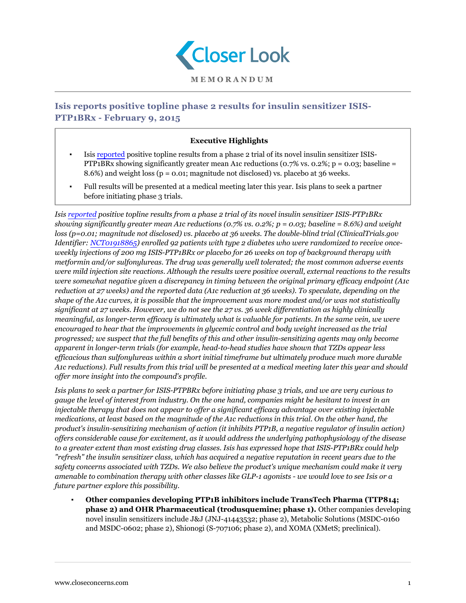

## **Isis reports positive topline phase 2 results for insulin sensitizer ISIS-PTP1BRx - February 9, 2015**

## **Executive Highlights**

- Isis [reported](http://ir.isispharm.com/phoenix.zhtml?c=222170&p=irol-newsArticle&ID=2012900&highlight=) positive topline results from a phase 2 trial of its novel insulin sensitizer ISIS-PTP<sub>1</sub>BRx showing significantly greater mean A1c reductions (0.7% vs. 0.2%; p = 0.03; baseline = 8.6%) and weight loss (p = 0.01; magnitude not disclosed) vs. placebo at 36 weeks.
- Full results will be presented at a medical meeting later this year. Isis plans to seek a partner before initiating phase 3 trials.

*Isis [reported](http://ir.isispharm.com/phoenix.zhtml?c=222170&p=irol-newsArticle&ID=2012900&highlight=) positive topline results from a phase 2 trial of its novel insulin sensitizer ISIS-PTP1BRx showing significantly greater mean A1c reductions (0.7% vs. 0.2%; p = 0.03; baseline = 8.6%) and weight loss (p=0.01; magnitude not disclosed) vs. placebo at 36 weeks. The double-blind trial (ClinicalTrials.gov Identifier: [NCT01918865](https://clinicaltrials.gov/ct2/show/NCT01918865?term=isis-ptp1b&rank=2)) enrolled 92 patients with type 2 diabetes who were randomized to receive onceweekly injections of 200 mg ISIS-PTP1BRx or placebo for 26 weeks on top of background therapy with metformin and/or sulfonylureas. The drug was generally well tolerated; the most common adverse events were mild injection site reactions. Although the results were positive overall, external reactions to the results were somewhat negative given a discrepancy in timing between the original primary efficacy endpoint (A1c reduction at 27 weeks) and the reported data (A1c reduction at 36 weeks). To speculate, depending on the shape of the A1c curves, it is possible that the improvement was more modest and/or was not statistically significant at 27 weeks. However, we do not see the 27 vs. 36 week differentiation as highly clinically meaningful, as longer-term efficacy is ultimately what is valuable for patients. In the same vein, we were encouraged to hear that the improvements in glycemic control and body weight increased as the trial progressed; we suspect that the full benefits of this and other insulin-sensitizing agents may only become apparent in longer-term trials (for example, head-to-head studies have shown that TZDs appear less efficacious than sulfonylureas within a short initial timeframe but ultimately produce much more durable A1c reductions). Full results from this trial will be presented at a medical meeting later this year and should offer more insight into the compound's profile.*

*Isis plans to seek a partner for ISIS-PTPBRx before initiating phase 3 trials, and we are very curious to gauge the level of interest from industry. On the one hand, companies might be hesitant to invest in an injectable therapy that does not appear to offer a significant efficacy advantage over existing injectable medications, at least based on the magnitude of the A1c reductions in this trial. On the other hand, the product's insulin-sensitizing mechanism of action (it inhibits PTP1B, a negative regulator of insulin action) offers considerable cause for excitement, as it would address the underlying pathophysiology of the disease to a greater extent than most existing drug classes. Isis has expressed hope that ISIS-PTP1BRx could help "refresh" the insulin sensitizer class, which has acquired a negative reputation in recent years due to the safety concerns associated with TZDs. We also believe the product's unique mechanism could make it very amenable to combination therapy with other classes like GLP-1 agonists - we would love to see Isis or a future partner explore this possibility.*

▪ **Other companies developing PTP1B inhibitors include TransTech Pharma (TTP814; phase 2) and OHR Pharmaceutical (trodusquemine; phase 1).** Other companies developing novel insulin sensitizers include J&J (JNJ-41443532; phase 2), Metabolic Solutions (MSDC-0160 and MSDC-0602; phase 2), Shionogi (S-707106; phase 2), and XOMA (XMetS; preclinical).